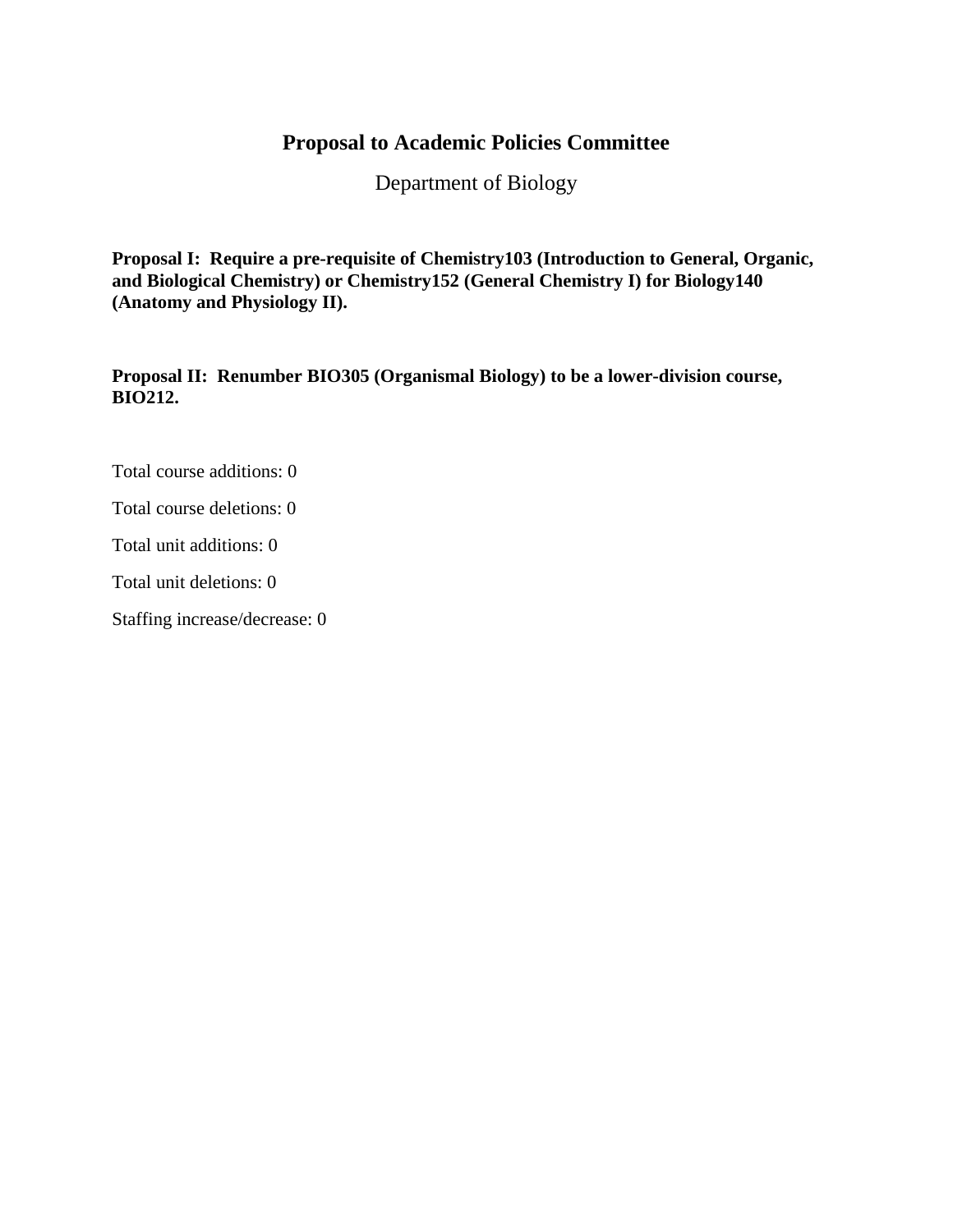# **Proposal to Academic Policies Committee**

Department of Biology

**Proposal I: Require a pre-requisite of Chemistry103 (Introduction to General, Organic, and Biological Chemistry) or Chemistry152 (General Chemistry I) for Biology140 (Anatomy and Physiology II).**

**Proposal II: Renumber BIO305 (Organismal Biology) to be a lower-division course, BIO212.**

Total course additions: 0

Total course deletions: 0

Total unit additions: 0

Total unit deletions: 0

Staffing increase/decrease: 0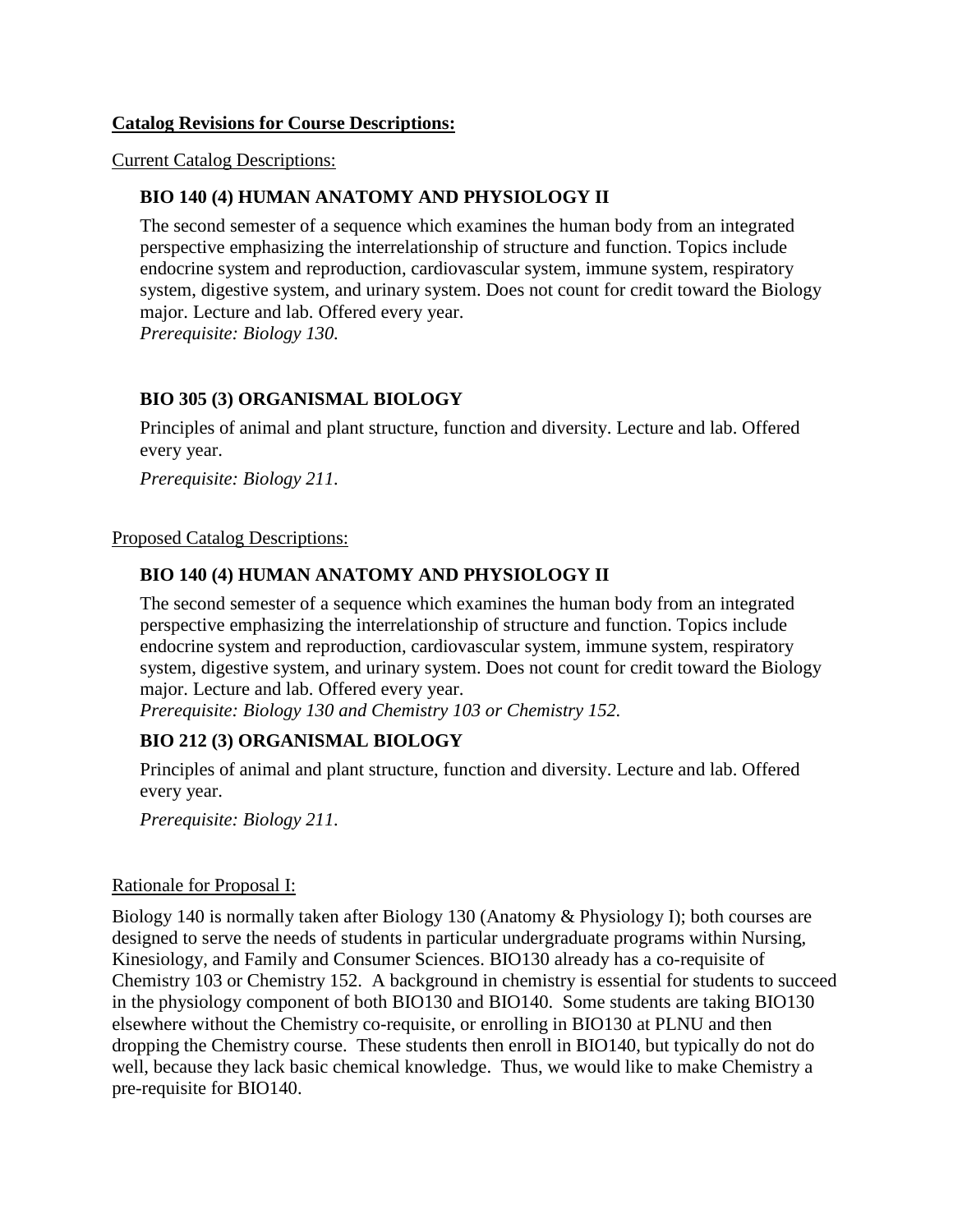#### **Catalog Revisions for Course Descriptions:**

Current Catalog Descriptions:

# **BIO 140 (4) HUMAN ANATOMY AND PHYSIOLOGY II**

The second semester of a sequence which examines the human body from an integrated perspective emphasizing the interrelationship of structure and function. Topics include endocrine system and reproduction, cardiovascular system, immune system, respiratory system, digestive system, and urinary system. Does not count for credit toward the Biology major. Lecture and lab. Offered every year.

*Prerequisite: Biology 130.*

# **BIO 305 (3) ORGANISMAL BIOLOGY**

Principles of animal and plant structure, function and diversity. Lecture and lab. Offered every year.

*Prerequisite: Biology 211.*

#### Proposed Catalog Descriptions:

## **BIO 140 (4) HUMAN ANATOMY AND PHYSIOLOGY II**

The second semester of a sequence which examines the human body from an integrated perspective emphasizing the interrelationship of structure and function. Topics include endocrine system and reproduction, cardiovascular system, immune system, respiratory system, digestive system, and urinary system. Does not count for credit toward the Biology major. Lecture and lab. Offered every year.

*Prerequisite: Biology 130 and Chemistry 103 or Chemistry 152.*

## **BIO 212 (3) ORGANISMAL BIOLOGY**

Principles of animal and plant structure, function and diversity. Lecture and lab. Offered every year.

*Prerequisite: Biology 211.*

#### Rationale for Proposal I:

Biology 140 is normally taken after Biology 130 (Anatomy & Physiology I); both courses are designed to serve the needs of students in particular undergraduate programs within Nursing, Kinesiology, and Family and Consumer Sciences. BIO130 already has a co-requisite of Chemistry 103 or Chemistry 152. A background in chemistry is essential for students to succeed in the physiology component of both BIO130 and BIO140. Some students are taking BIO130 elsewhere without the Chemistry co-requisite, or enrolling in BIO130 at PLNU and then dropping the Chemistry course. These students then enroll in BIO140, but typically do not do well, because they lack basic chemical knowledge. Thus, we would like to make Chemistry a pre-requisite for BIO140.